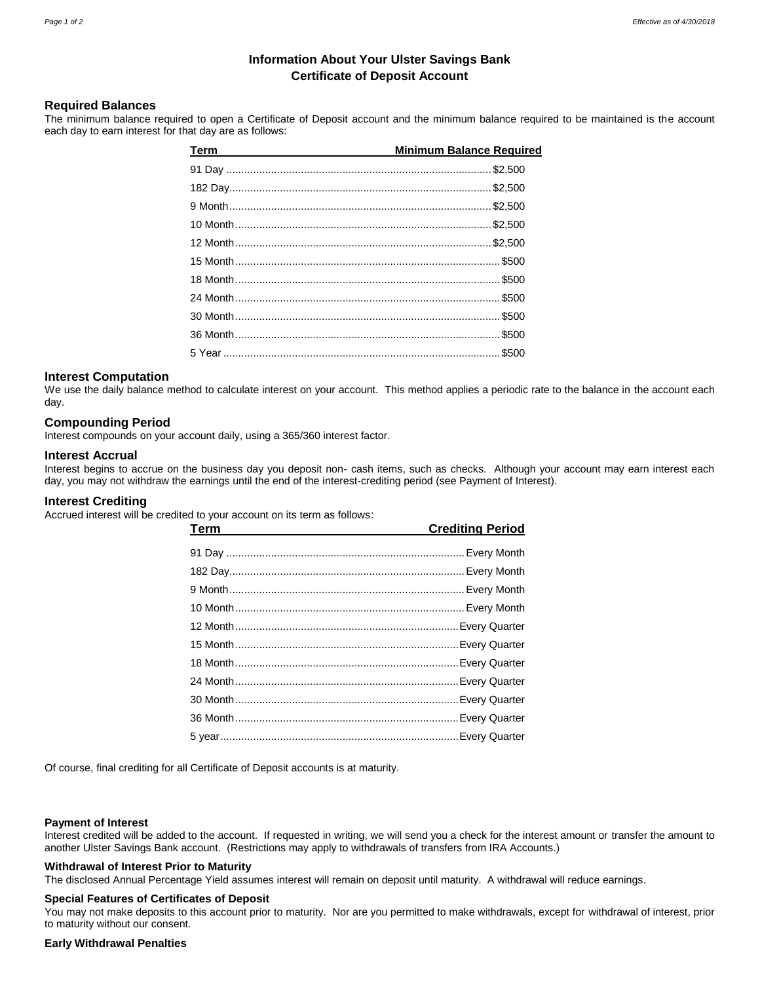# **Information About Your Ulster Savings Bank Certificate of Deposit Account**

# **Required Balances**

The minimum balance required to open a Certificate of Deposit account and the minimum balance required to be maintained is the account each day to earn interest for that day are as follows:

| Term | <b>Minimum Balance Required</b> |
|------|---------------------------------|
|      |                                 |
|      |                                 |
|      |                                 |
|      |                                 |
|      |                                 |
|      |                                 |
|      |                                 |
|      |                                 |
|      |                                 |
|      | \$500                           |
|      |                                 |

## **Interest Computation**

We use the daily balance method to calculate interest on your account. This method applies a periodic rate to the balance in the account each day.

## **Compounding Period**

Interest compounds on your account daily, using a 365/360 interest factor.

### **Interest Accrual**

Interest begins to accrue on the business day you deposit non- cash items, such as checks. Although your account may earn interest each day, you may not withdraw the earnings until the end of the interest-crediting period (see Payment of Interest).

### **Interest Crediting**

Accrued interest will be credited to your account on its term as follows:

| <b>Term</b><br><u> 1980 - Johann Barn, amerikan besteman besteman besteman besteman besteman besteman besteman besteman bestema</u> | <b>Crediting Period</b> |
|-------------------------------------------------------------------------------------------------------------------------------------|-------------------------|
|                                                                                                                                     |                         |
|                                                                                                                                     |                         |
|                                                                                                                                     |                         |
|                                                                                                                                     |                         |
|                                                                                                                                     |                         |
|                                                                                                                                     |                         |
|                                                                                                                                     |                         |
|                                                                                                                                     |                         |
|                                                                                                                                     |                         |
|                                                                                                                                     |                         |
|                                                                                                                                     |                         |
|                                                                                                                                     |                         |

Of course, final crediting for all Certificate of Deposit accounts is at maturity.

#### **Payment of Interest**

Interest credited will be added to the account. If requested in writing, we will send you a check for the interest amount or transfer the amount to another Ulster Savings Bank account. (Restrictions may apply to withdrawals of transfers from IRA Accounts.)

## **Withdrawal of Interest Prior to Maturity**

The disclosed Annual Percentage Yield assumes interest will remain on deposit until maturity. A withdrawal will reduce earnings.

### **Special Features of Certificates of Deposit**

You may not make deposits to this account prior to maturity. Nor are you permitted to make withdrawals, except for withdrawal of interest, prior to maturity without our consent.

#### **Early Withdrawal Penalties**